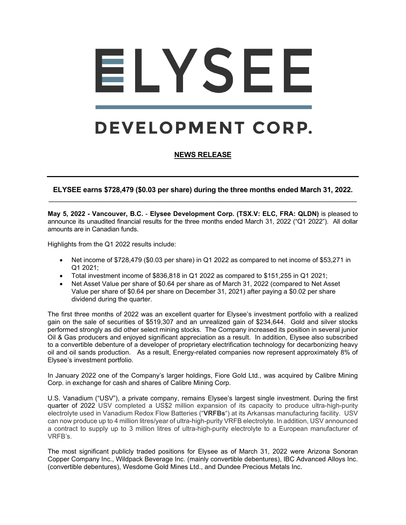# ELYSEE

# DEVELOPMENT CORP.

# **NEWS RELEASE**

**ELYSEE earns \$728,479 (\$0.03 per share) during the three months ended March 31, 2022.** \_\_\_\_\_\_\_\_\_\_\_\_\_\_\_\_\_\_\_\_\_\_\_\_\_\_\_\_\_\_\_\_\_\_\_\_\_\_\_\_\_\_\_\_\_\_\_\_\_\_\_\_\_\_\_\_\_\_\_\_\_\_\_\_\_\_\_\_\_\_\_\_\_\_\_\_

**May 5, 2022 - Vancouver, B.C.** - **Elysee Development Corp. (TSX.V: ELC, FRA: QLDN)** is pleased to announce its unaudited financial results for the three months ended March 31, 2022 ("Q1 2022"). All dollar amounts are in Canadian funds.

Highlights from the Q1 2022 results include:

- Net income of \$728,479 (\$0.03 per share) in Q1 2022 as compared to net income of \$53,271 in Q1 2021;
- Total investment income of \$836,818 in Q1 2022 as compared to \$151,255 in Q1 2021;
- Net Asset Value per share of \$0.64 per share as of March 31, 2022 (compared to Net Asset Value per share of \$0.64 per share on December 31, 2021) after paying a \$0.02 per share dividend during the quarter.

The first three months of 2022 was an excellent quarter for Elysee's investment portfolio with a realized gain on the sale of securities of \$519,307 and an unrealized gain of \$234,644. Gold and silver stocks performed strongly as did other select mining stocks. The Company increased its position in several junior Oil & Gas producers and enjoyed significant appreciation as a result. In addition, Elysee also subscribed to a convertible debenture of a developer of proprietary electrification technology for decarbonizing heavy oil and oil sands production. As a result, Energy-related companies now represent approximately 8% of Elysee's investment portfolio.

In January 2022 one of the Company's larger holdings, Fiore Gold Ltd., was acquired by Calibre Mining Corp. in exchange for cash and shares of Calibre Mining Corp.

U.S. Vanadium ("USV"), a private company, remains Elysee's largest single investment. During the first quarter of 2022 USV completed a US\$2 million expansion of its capacity to produce ultra-high-purity electrolyte used in Vanadium Redox Flow Batteries ("**VRFBs**") at its Arkansas manufacturing facility. USV can now produce up to 4 million litres/year of ultra-high-purity VRFB electrolyte. In addition, USV announced a contract to supply up to 3 million litres of ultra-high-purity electrolyte to a European manufacturer of VRFB's.

The most significant publicly traded positions for Elysee as of March 31, 2022 were Arizona Sonoran Copper Company Inc., Wildpack Beverage Inc. (mainly convertible debentures), IBC Advanced Alloys Inc. (convertible debentures), Wesdome Gold Mines Ltd., and Dundee Precious Metals Inc.